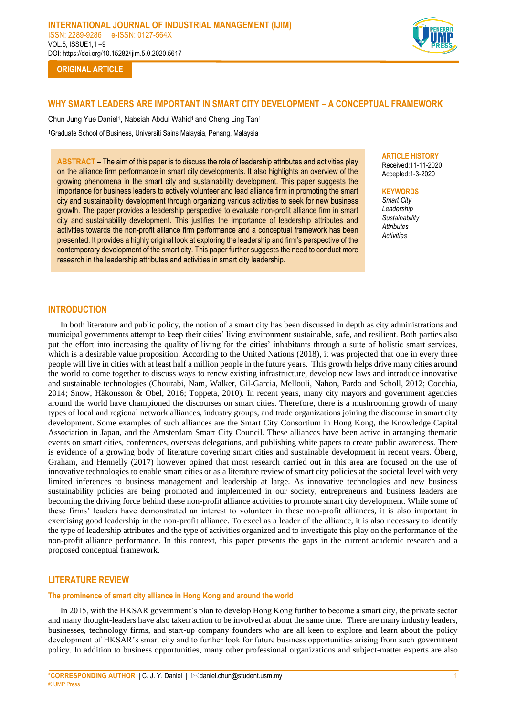

**ORIGINAL ARTICLE**

# **WHY SMART LEADERS ARE IMPORTANT IN SMART CITY DEVELOPMENT – A CONCEPTUAL FRAMEWORK**

Chun Jung Yue Daniel1, Nabsiah Abdul Wahid1 and Cheng Ling Tan1 <sup>1</sup>Graduate School of Business, Universiti Sains Malaysia, Penang, Malaysia

**ABSTRACT** – The aim of this paper is to discuss the role of leadership attributes and activities play on the alliance firm performance in smart city developments. It also highlights an overview of the growing phenomena in the smart city and sustainability development. This paper suggests the importance for business leaders to actively volunteer and lead alliance firm in promoting the smart city and sustainability development through organizing various activities to seek for new business growth. The paper provides a leadership perspective to evaluate non-profit alliance firm in smart city and sustainability development. This justifies the importance of leadership attributes and activities towards the non-profit alliance firm performance and a conceptual framework has been presented. It provides a highly original look at exploring the leadership and firm's perspective of the contemporary development of the smart city. This paper further suggests the need to conduct more research in the leadership attributes and activities in smart city leadership.

# **ARTICLE HISTORY**

Received:11-11-2020 Accepted:1-3-2020

#### **KEYWORDS**

*Smart City Leadership Sustainability Attributes Activities*

### **INTRODUCTION**

In both literature and public policy, the notion of a smart city has been discussed in depth as city administrations and municipal governments attempt to keep their cities' living environment sustainable, safe, and resilient. Both parties also put the effort into increasing the quality of living for the cities' inhabitants through a suite of holistic smart services, which is a desirable value proposition. According to the United Nations (2018), it was projected that one in every three people will live in cities with at least half a million people in the future years. This growth helps drive many cities around the world to come together to discuss ways to renew existing infrastructure, develop new laws and introduce innovative and sustainable technologies (Chourabi, Nam, Walker, Gil-Garcia, Mellouli, Nahon, Pardo and Scholl, 2012; Cocchia, 2014; Snow, Håkonsson & Obel, 2016; Toppeta, 2010). In recent years, many city mayors and government agencies around the world have championed the discourses on smart cities. Therefore, there is a mushrooming growth of many types of local and regional network alliances, industry groups, and trade organizations joining the discourse in smart city development. Some examples of such alliances are the Smart City Consortium in Hong Kong, the Knowledge Capital Association in Japan, and the Amsterdam Smart City Council. These alliances have been active in arranging thematic events on smart cities, conferences, overseas delegations, and publishing white papers to create public awareness. There is evidence of a growing body of literature covering smart cities and sustainable development in recent years. Öberg, Graham, and Hennelly (2017) however opined that most research carried out in this area are focused on the use of innovative technologies to enable smart cities or as a literature review of smart city policies at the societal level with very limited inferences to business management and leadership at large. As innovative technologies and new business sustainability policies are being promoted and implemented in our society, entrepreneurs and business leaders are becoming the driving force behind these non-profit alliance activities to promote smart city development. While some of these firms' leaders have demonstrated an interest to volunteer in these non-profit alliances, it is also important in exercising good leadership in the non-profit alliance. To excel as a leader of the alliance, it is also necessary to identify the type of leadership attributes and the type of activities organized and to investigate this play on the performance of the non-profit alliance performance. In this context, this paper presents the gaps in the current academic research and a proposed conceptual framework.

### **LITERATURE REVIEW**

### **The prominence of smart city alliance in Hong Kong and around the world**

In 2015, with the HKSAR government's plan to develop Hong Kong further to become a smart city, the private sector and many thought-leaders have also taken action to be involved at about the same time. There are many industry leaders, businesses, technology firms, and start-up company founders who are all keen to explore and learn about the policy development of HKSAR's smart city and to further look for future business opportunities arising from such government policy. In addition to business opportunities, many other professional organizations and subject-matter experts are also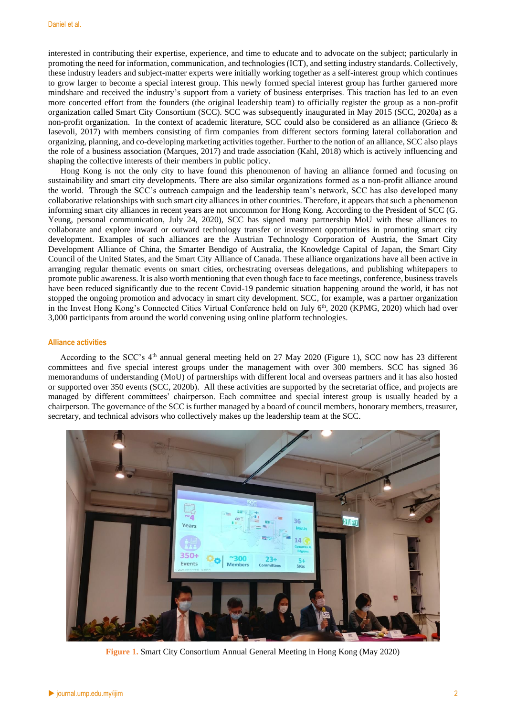interested in contributing their expertise, experience, and time to educate and to advocate on the subject; particularly in promoting the need for information, communication, and technologies (ICT), and setting industry standards. Collectively, these industry leaders and subject-matter experts were initially working together as a self-interest group which continues to grow larger to become a special interest group. This newly formed special interest group has further garnered more mindshare and received the industry's support from a variety of business enterprises. This traction has led to an even more concerted effort from the founders (the original leadership team) to officially register the group as a non-profit organization called Smart City Consortium (SCC). SCC was subsequently inaugurated in May 2015 (SCC, 2020a) as a non-profit organization. In the context of academic literature, SCC could also be considered as an alliance (Grieco & Iasevoli, 2017) with members consisting of firm companies from different sectors forming lateral collaboration and organizing, planning, and co-developing marketing activities together. Further to the notion of an alliance, SCC also plays the role of a business association (Marques, 2017) and trade association (Kahl, 2018) which is actively influencing and shaping the collective interests of their members in public policy.

Hong Kong is not the only city to have found this phenomenon of having an alliance formed and focusing on sustainability and smart city developments. There are also similar organizations formed as a non-profit alliance around the world. Through the SCC's outreach campaign and the leadership team's network, SCC has also developed many collaborative relationships with such smart city alliances in other countries. Therefore, it appears that such a phenomenon informing smart city alliances in recent years are not uncommon for Hong Kong. According to the President of SCC (G. Yeung, personal communication, July 24, 2020), SCC has signed many partnership MoU with these alliances to collaborate and explore inward or outward technology transfer or investment opportunities in promoting smart city development. Examples of such alliances are the Austrian Technology Corporation of Austria, the Smart City Development Alliance of China, the Smarter Bendigo of Australia, the Knowledge Capital of Japan, the Smart City Council of the United States, and the Smart City Alliance of Canada. These alliance organizations have all been active in arranging regular thematic events on smart cities, orchestrating overseas delegations, and publishing whitepapers to promote public awareness. It is also worth mentioning that even though face to face meetings, conference, business travels have been reduced significantly due to the recent Covid-19 pandemic situation happening around the world, it has not stopped the ongoing promotion and advocacy in smart city development. SCC, for example, was a partner organization in the Invest Hong Kong's Connected Cities Virtual Conference held on July 6<sup>th</sup>, 2020 (KPMG, 2020) which had over 3,000 participants from around the world convening using online platform technologies.

### **Alliance activities**

According to the SCC's  $4<sup>th</sup>$  annual general meeting held on 27 May 2020 (Figure 1), SCC now has 23 different committees and five special interest groups under the management with over 300 members. SCC has signed 36 memorandums of understanding (MoU) of partnerships with different local and overseas partners and it has also hosted or supported over 350 events (SCC, 2020b). All these activities are supported by the secretariat office, and projects are managed by different committees' chairperson. Each committee and special interest group is usually headed by a chairperson. The governance of the SCC is further managed by a board of council members, honorary members, treasurer, secretary, and technical advisors who collectively makes up the leadership team at the SCC.



**Figure 1.** Smart City Consortium Annual General Meeting in Hong Kong (May 2020)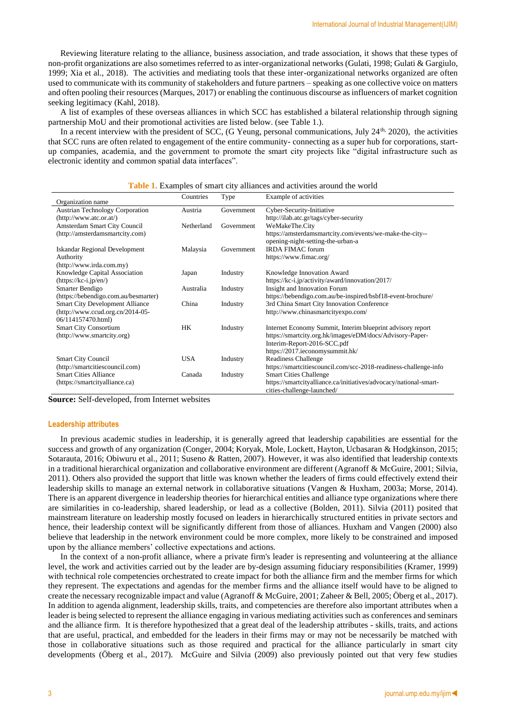Reviewing literature relating to the alliance, business association, and trade association, it shows that these types of non-profit organizations are also sometimes referred to as inter-organizational networks (Gulati, 1998; Gulati & Gargiulo, 1999; Xia et al., 2018). The activities and mediating tools that these inter-organizational networks organized are often used to communicate with its community of stakeholders and future partners – speaking as one collective voice on matters and often pooling their resources (Marques, 2017) or enabling the continuous discourse as influencers of market cognition seeking legitimacy (Kahl, 2018).

A list of examples of these overseas alliances in which SCC has established a bilateral relationship through signing partnership MoU and their promotional activities are listed below. (see Table 1.).

In a recent interview with the president of SCC, (G Yeung, personal communications, July 24<sup>th,</sup> 2020), the activities that SCC runs are often related to engagement of the entire community- connecting as a super hub for corporations, startup companies, academia, and the government to promote the smart city projects like "digital infrastructure such as electronic identity and common spatial data interfaces".

|                                        | Countries  | Type       | Example of activities                                             |  |
|----------------------------------------|------------|------------|-------------------------------------------------------------------|--|
| Organization name                      |            |            |                                                                   |  |
| <b>Austrian Technology Corporation</b> | Austria    | Government | Cyber-Security-Initiative                                         |  |
| (http://www. atc. or. at/)             |            |            | http://ilab.atc.gr/tags/cyber-security                            |  |
| Amsterdam Smart City Council           | Netherland | Government | WeMakeThe.City                                                    |  |
| (http://amsterdamsmartcity.com)        |            |            | https://amsterdamsmartcity.com/events/we-make-the-city--          |  |
|                                        |            |            | opening-night-setting-the-urban-a                                 |  |
| Iskandar Regional Development          | Malaysia   | Government | <b>IRDA FIMAC forum</b>                                           |  |
| Authority                              |            |            | https://www.fimac.org/                                            |  |
| (http://www.irda.com.my)               |            |            |                                                                   |  |
| Knowledge Capital Association          | Japan      | Industry   | Knowledge Innovation Award                                        |  |
| $(htips://kc-i.jp/en')$                |            |            | https://kc-i.jp/activity/award/innovation/2017/                   |  |
| Smarter Bendigo                        | Australia  | Industry   | Insight and Innovation Forum                                      |  |
| (https://bebendigo.com.au/besmarter)   |            |            | https://bebendigo.com.au/be-inspired/bsbf18-event-brochure/       |  |
| <b>Smart City Development Alliance</b> | China      | Industry   | 3rd China Smart City Innovation Conference                        |  |
| $(http://www.ccud.org.cn/2014-05-$     |            |            | http://www.chinasmartcityexpo.com/                                |  |
| 06/114157470.html)                     |            |            |                                                                   |  |
| <b>Smart City Consortium</b>           | HK         | Industry   | Internet Economy Summit, Interim blueprint advisory report        |  |
| (http://www.smartcity.org)             |            |            | https://smartcity.org.hk/images/eDM/docs/Advisory-Paper-          |  |
|                                        |            |            | Interim-Report-2016-SCC.pdf                                       |  |
|                                        |            |            | https://2017.ieconomysummit.hk/                                   |  |
| <b>Smart City Council</b>              | <b>USA</b> | Industry   | Readiness Challenge                                               |  |
| (http://smartcitiescouncil.com)        |            |            | https://smartcitiescouncil.com/scc-2018-readiness-challenge-info  |  |
| <b>Smart Cities Alliance</b>           | Canada     | Industry   | <b>Smart Cities Challenge</b>                                     |  |
| (https://smartcityalliance.ca)         |            |            | https://smartcityalliance.ca/initiatives/advocacy/national-smart- |  |
|                                        |            |            | cities-challenge-launched/                                        |  |

**Table 1.** Examples of smart city alliances and activities around the world

**Source:** Self-developed, from Internet websites

#### **Leadership attributes**

In previous academic studies in leadership, it is generally agreed that leadership capabilities are essential for the success and growth of any organization (Conger, 2004; Koryak, Mole, Lockett, Hayton, Ucbasaran & Hodgkinson, 2015; Sotarauta, 2016; Obiwuru et al., 2011; Suseno & Ratten, 2007). However, it was also identified that leadership contexts in a traditional hierarchical organization and collaborative environment are different (Agranoff & McGuire, 2001; Silvia, 2011). Others also provided the support that little was known whether the leaders of firms could effectively extend their leadership skills to manage an external network in collaborative situations (Vangen & Huxham, 2003a; Morse, 2014). There is an apparent divergence in leadership theories for hierarchical entities and alliance type organizations where there are similarities in co-leadership, shared leadership, or lead as a collective (Bolden, 2011). Silvia (2011) posited that mainstream literature on leadership mostly focused on leaders in hierarchically structured entities in private sectors and hence, their leadership context will be significantly different from those of alliances. Huxham and Vangen (2000) also believe that leadership in the network environment could be more complex, more likely to be constrained and imposed upon by the alliance members' collective expectations and actions.

In the context of a non-profit alliance, where a private firm's leader is representing and volunteering at the alliance level, the work and activities carried out by the leader are by-design assuming fiduciary responsibilities (Kramer, 1999) with technical role competencies orchestrated to create impact for both the alliance firm and the member firms for which they represent. The expectations and agendas for the member firms and the alliance itself would have to be aligned to create the necessary recognizable impact and value (Agranoff & McGuire, 2001; Zaheer & Bell, 2005; Öberg et al., 2017). In addition to agenda alignment, leadership skills, traits, and competencies are therefore also important attributes when a leader is being selected to represent the alliance engaging in various mediating activities such as conferences and seminars and the alliance firm. It is therefore hypothesized that a great deal of the leadership attributes - skills, traits, and actions that are useful, practical, and embedded for the leaders in their firms may or may not be necessarily be matched with those in collaborative situations such as those required and practical for the alliance particularly in smart city developments (Öberg et al., 2017). McGuire and Silvia (2009) also previously pointed out that very few studies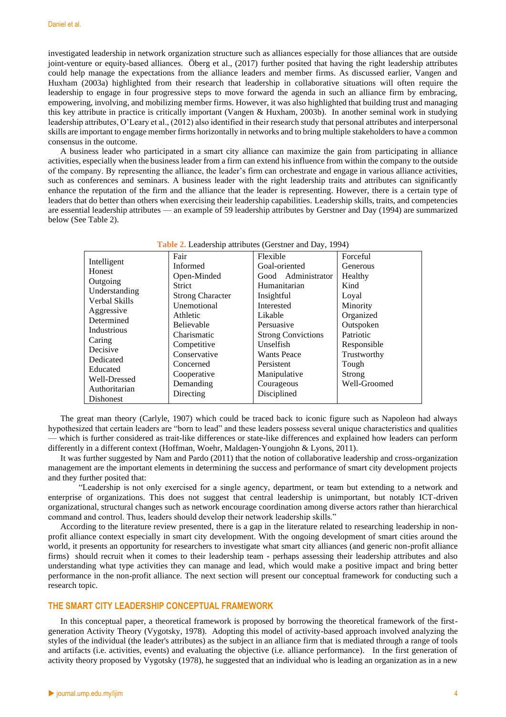investigated leadership in network organization structure such as alliances especially for those alliances that are outside joint-venture or equity-based alliances. Öberg et al., (2017) further posited that having the right leadership attributes could help manage the expectations from the alliance leaders and member firms. As discussed earlier, Vangen and Huxham (2003a) highlighted from their research that leadership in collaborative situations will often require the leadership to engage in four progressive steps to move forward the agenda in such an alliance firm by embracing, empowering, involving, and mobilizing member firms. However, it was also highlighted that building trust and managing this key attribute in practice is critically important (Vangen & Huxham, 2003b). In another seminal work in studying leadership attributes, O'Leary et al., (2012) also identified in their research study that personal attributes and interpersonal skills are important to engage member firms horizontally in networks and to bring multiple stakeholders to have a common consensus in the outcome.

A business leader who participated in a smart city alliance can maximize the gain from participating in alliance activities, especially when the business leader from a firm can extend his influence from within the company to the outside of the company. By representing the alliance, the leader's firm can orchestrate and engage in various alliance activities, such as conferences and seminars. A business leader with the right leadership traits and attributes can significantly enhance the reputation of the firm and the alliance that the leader is representing. However, there is a certain type of leaders that do better than others when exercising their leadership capabilities. Leadership skills, traits, and competencies are essential leadership attributes — an example of 59 leadership attributes by Gerstner and Day (1994) are summarized below (See Table 2).

| <b>Table 2.</b> Leadership authories (Gerstner and Day, 1994) |                         |                           |              |  |  |  |
|---------------------------------------------------------------|-------------------------|---------------------------|--------------|--|--|--|
|                                                               | Fair                    | Flexible                  | Forceful     |  |  |  |
| Intelligent<br>Honest                                         | Informed                | Goal-oriented             | Generous     |  |  |  |
|                                                               | Open-Minded             | Good Administrator        | Healthy      |  |  |  |
| Outgoing                                                      | Strict                  | Humanitarian              | Kind         |  |  |  |
| Understanding                                                 | <b>Strong Character</b> | Insightful                | Loyal        |  |  |  |
| Verbal Skills                                                 | Unemotional             | Interested                | Minority     |  |  |  |
| Aggressive                                                    | Athletic                | Likable                   | Organized    |  |  |  |
| Determined                                                    | Believable              | Persuasive                | Outspoken    |  |  |  |
| Industrious                                                   | Charismatic             | <b>Strong Convictions</b> | Patriotic    |  |  |  |
| Caring                                                        | Competitive             | Unselfish                 | Responsible  |  |  |  |
| Decisive                                                      | Conservative            | <b>Wants Peace</b>        | Trustworthy  |  |  |  |
| Dedicated                                                     | Concerned               | Persistent                | Tough        |  |  |  |
| Educated                                                      | Cooperative             | Manipulative              | Strong       |  |  |  |
| Well-Dressed                                                  | Demanding               | Courageous                | Well-Groomed |  |  |  |
| Authoritarian                                                 | Directing               | Disciplined               |              |  |  |  |
| Dishonest                                                     |                         |                           |              |  |  |  |

**Table 2.** Leadership attributes (Gerstner and Day, 1994)

The great man theory (Carlyle, 1907) which could be traced back to iconic figure such as Napoleon had always hypothesized that certain leaders are "born to lead" and these leaders possess several unique characteristics and qualities — which is further considered as trait-like differences or state-like differences and explained how leaders can perform differently in a different context (Hoffman, Woehr, Maldagen‐Youngjohn & Lyons, 2011).

It was further suggested by Nam and Pardo (2011) that the notion of collaborative leadership and cross-organization management are the important elements in determining the success and performance of smart city development projects and they further posited that:

"Leadership is not only exercised for a single agency, department, or team but extending to a network and enterprise of organizations. This does not suggest that central leadership is unimportant, but notably ICT-driven organizational, structural changes such as network encourage coordination among diverse actors rather than hierarchical command and control. Thus, leaders should develop their network leadership skills."

According to the literature review presented, there is a gap in the literature related to researching leadership in nonprofit alliance context especially in smart city development. With the ongoing development of smart cities around the world, it presents an opportunity for researchers to investigate what smart city alliances (and generic non-profit alliance firms) should recruit when it comes to their leadership team - perhaps assessing their leadership attributes and also understanding what type activities they can manage and lead, which would make a positive impact and bring better performance in the non-profit alliance. The next section will present our conceptual framework for conducting such a research topic.

### **THE SMART CITY LEADERSHIP CONCEPTUAL FRAMEWORK**

In this conceptual paper, a theoretical framework is proposed by borrowing the theoretical framework of the firstgeneration Activity Theory (Vygotsky, 1978). Adopting this model of activity-based approach involved analyzing the styles of the individual (the leader's attributes) as the subject in an alliance firm that is mediated through a range of tools and artifacts (i.e. activities, events) and evaluating the objective (i.e. alliance performance). In the first generation of activity theory proposed by Vygotsky (1978), he suggested that an individual who is leading an organization as in a new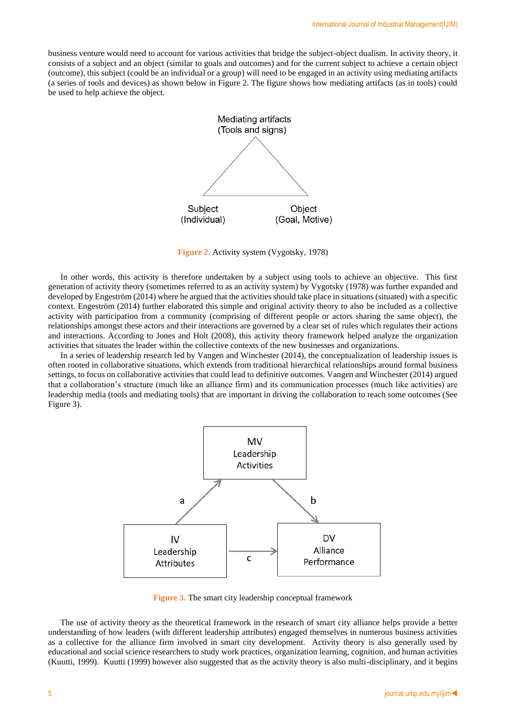business venture would need to account for various activities that bridge the subject-object dualism. In activity theory, it consists of a subject and an object (similar to goals and outcomes) and for the current subject to achieve a certain object (outcome), this subject (could be an individual or a group) will need to be engaged in an activity using mediating artifacts (a series of tools and devices) as shown below in Figure 2. The figure shows how mediating artifacts (as in tools) could be used to help achieve the object.



**Figure 2.** Activity system (Vygotsky, 1978)

In other words, this activity is therefore undertaken by a subject using tools to achieve an objective. This first generation of activity theory (sometimes referred to as an activity system) by Vygotsky (1978) was further expanded and developed by Engeström (2014) where he argued that the activities should take place in situations (situated) with a specific context. Engeström (2014) further elaborated this simple and original activity theory to also be included as a collective activity with participation from a community (comprising of different people or actors sharing the same object), the relationships amongst these actors and their interactions are governed by a clear set of rules which regulates their actions and interactions. According to Jones and Holt (2008), this activity theory framework helped analyze the organization activities that situates the leader within the collective contexts of the new businesses and organizations.

In a series of leadership research led by Vangen and Winchester (2014), the conceptualization of leadership issues is often rooted in collaborative situations, which extends from traditional hierarchical relationships around formal business settings, to focus on collaborative activities that could lead to definitive outcomes. Vangen and Winchester (2014) argued that a collaboration's structure (much like an alliance firm) and its communication processes (much like activities) are leadership media (tools and mediating tools) that are important in driving the collaboration to reach some outcomes (See Figure 3).



**Figure 3.** The smart city leadership conceptual framework

The use of activity theory as the theoretical framework in the research of smart city alliance helps provide a better understanding of how leaders (with different leadership attributes) engaged themselves in numerous business activities as a collective for the alliance firm involved in smart city development. Activity theory is also generally used by educational and social science researchers to study work practices, organization learning, cognition, and human activities (Kuutti, 1999). Kuutti (1999) however also suggested that as the activity theory is also multi-disciplinary, and it begins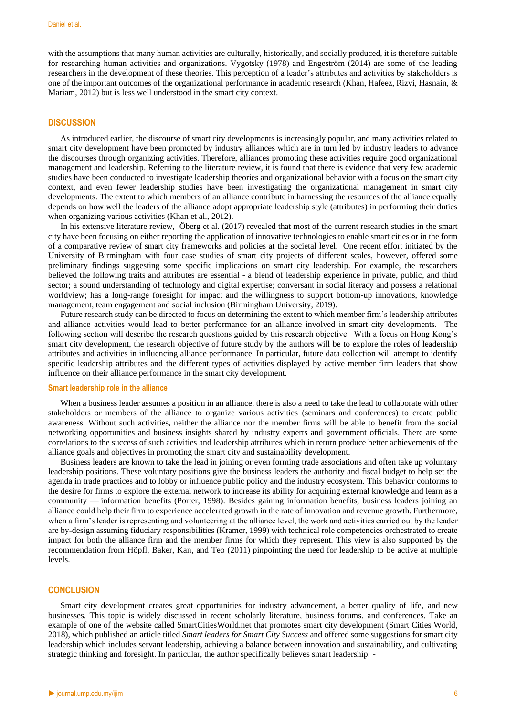with the assumptions that many human activities are culturally, historically, and socially produced, it is therefore suitable for researching human activities and organizations. Vygotsky (1978) and Engeström (2014) are some of the leading researchers in the development of these theories. This perception of a leader's attributes and activities by stakeholders is one of the important outcomes of the organizational performance in academic research (Khan, Hafeez, Rizvi, Hasnain, & Mariam, 2012) but is less well understood in the smart city context.

### **DISCUSSION**

As introduced earlier, the discourse of smart city developments is increasingly popular, and many activities related to smart city development have been promoted by industry alliances which are in turn led by industry leaders to advance the discourses through organizing activities. Therefore, alliances promoting these activities require good organizational management and leadership. Referring to the literature review, it is found that there is evidence that very few academic studies have been conducted to investigate leadership theories and organizational behavior with a focus on the smart city context, and even fewer leadership studies have been investigating the organizational management in smart city developments. The extent to which members of an alliance contribute in harnessing the resources of the alliance equally depends on how well the leaders of the alliance adopt appropriate leadership style (attributes) in performing their duties when organizing various activities (Khan et al., 2012).

In his extensive literature review, Öberg et al. (2017) revealed that most of the current research studies in the smart city have been focusing on either reporting the application of innovative technologies to enable smart cities or in the form of a comparative review of smart city frameworks and policies at the societal level. One recent effort initiated by the University of Birmingham with four case studies of smart city projects of different scales, however, offered some preliminary findings suggesting some specific implications on smart city leadership. For example, the researchers believed the following traits and attributes are essential - a blend of leadership experience in private, public, and third sector; a sound understanding of technology and digital expertise; conversant in social literacy and possess a relational worldview; has a long-range foresight for impact and the willingness to support bottom-up innovations, knowledge management, team engagement and social inclusion (Birmingham University, 2019).

Future research study can be directed to focus on determining the extent to which member firm's leadership attributes and alliance activities would lead to better performance for an alliance involved in smart city developments. The following section will describe the research questions guided by this research objective. With a focus on Hong Kong's smart city development, the research objective of future study by the authors will be to explore the roles of leadership attributes and activities in influencing alliance performance. In particular, future data collection will attempt to identify specific leadership attributes and the different types of activities displayed by active member firm leaders that show influence on their alliance performance in the smart city development.

### **Smart leadership role in the alliance**

When a business leader assumes a position in an alliance, there is also a need to take the lead to collaborate with other stakeholders or members of the alliance to organize various activities (seminars and conferences) to create public awareness. Without such activities, neither the alliance nor the member firms will be able to benefit from the social networking opportunities and business insights shared by industry experts and government officials. There are some correlations to the success of such activities and leadership attributes which in return produce better achievements of the alliance goals and objectives in promoting the smart city and sustainability development.

Business leaders are known to take the lead in joining or even forming trade associations and often take up voluntary leadership positions. These voluntary positions give the business leaders the authority and fiscal budget to help set the agenda in trade practices and to lobby or influence public policy and the industry ecosystem. This behavior conforms to the desire for firms to explore the external network to increase its ability for acquiring external knowledge and learn as a community — information benefits (Porter, 1998). Besides gaining information benefits, business leaders joining an alliance could help their firm to experience accelerated growth in the rate of innovation and revenue growth. Furthermore, when a firm's leader is representing and volunteering at the alliance level, the work and activities carried out by the leader are by-design assuming fiduciary responsibilities (Kramer, 1999) with technical role competencies orchestrated to create impact for both the alliance firm and the member firms for which they represent. This view is also supported by the recommendation from Höpfl, Baker, Kan, and Teo (2011) pinpointing the need for leadership to be active at multiple levels.

#### **CONCLUSION**

Smart city development creates great opportunities for industry advancement, a better quality of life, and new businesses. This topic is widely discussed in recent scholarly literature, business forums, and conferences. Take an example of one of the website called SmartCitiesWorld.net that promotes smart city development (Smart Cities World, 2018), which published an article titled *Smart leaders for Smart City Success* and offered some suggestions for smart city leadership which includes servant leadership, achieving a balance between innovation and sustainability, and cultivating strategic thinking and foresight. In particular, the author specifically believes smart leadership: -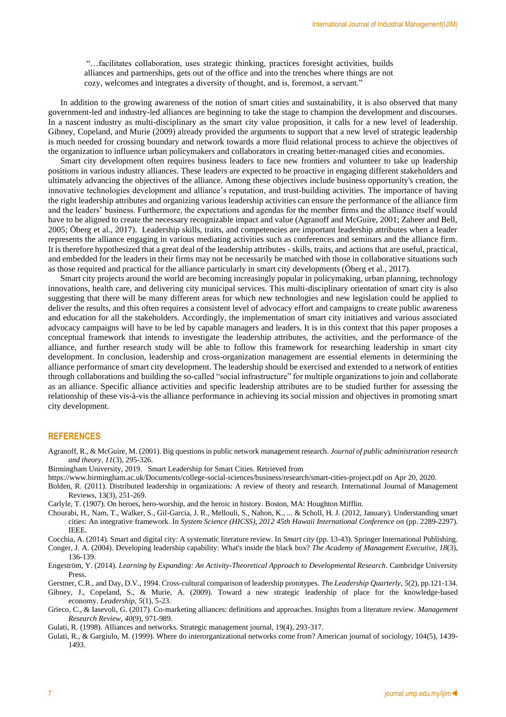"…facilitates collaboration, uses strategic thinking, practices foresight activities, builds alliances and partnerships, gets out of the office and into the trenches where things are not cozy, welcomes and integrates a diversity of thought, and is, foremost, a servant."

In addition to the growing awareness of the notion of smart cities and sustainability, it is also observed that many government-led and industry-led alliances are beginning to take the stage to champion the development and discourses. In a nascent industry as multi-disciplinary as the smart city value proposition, it calls for a new level of leadership. Gibney, Copeland, and Murie (2009) already provided the arguments to support that a new level of strategic leadership is much needed for crossing boundary and network towards a more fluid relational process to achieve the objectives of the organization to influence urban policymakers and collaborators in creating better-managed cities and economies.

Smart city development often requires business leaders to face new frontiers and volunteer to take up leadership positions in various industry alliances. These leaders are expected to be proactive in engaging different stakeholders and ultimately advancing the objectives of the alliance. Among these objectives include business opportunity's creation, the innovative technologies development and alliance's reputation, and trust-building activities. The importance of having the right leadership attributes and organizing various leadership activities can ensure the performance of the alliance firm and the leaders' business. Furthermore, the expectations and agendas for the member firms and the alliance itself would have to be aligned to create the necessary recognizable impact and value (Agranoff and McGuire, 2001; Zaheer and Bell, 2005; Öberg et al., 2017). Leadership skills, traits, and competencies are important leadership attributes when a leader represents the alliance engaging in various mediating activities such as conferences and seminars and the alliance firm. It is therefore hypothesized that a great deal of the leadership attributes - skills, traits, and actions that are useful, practical, and embedded for the leaders in their firms may not be necessarily be matched with those in collaborative situations such as those required and practical for the alliance particularly in smart city developments (Öberg et al., 2017).

Smart city projects around the world are becoming increasingly popular in policymaking, urban planning, technology innovations, health care, and delivering city municipal services. This multi-disciplinary orientation of smart city is also suggesting that there will be many different areas for which new technologies and new legislation could be applied to deliver the results, and this often requires a consistent level of advocacy effort and campaigns to create public awareness and education for all the stakeholders. Accordingly, the implementation of smart city initiatives and various associated advocacy campaigns will have to be led by capable managers and leaders. It is in this context that this paper proposes a conceptual framework that intends to investigate the leadership attributes, the activities, and the performance of the alliance, and further research study will be able to follow this framework for researching leadership in smart city development. In conclusion, leadership and cross-organization management are essential elements in determining the alliance performance of smart city development. The leadership should be exercised and extended to a network of entities through collaborations and building the so-called "social infrastructure" for multiple organizations to join and collaborate as an alliance. Specific alliance activities and specific leadership attributes are to be studied further for assessing the relationship of these vis-à-vis the alliance performance in achieving its social mission and objectives in promoting smart city development.

### **REFERENCES**

- Agranoff, R., & McGuire, M. (2001). Big questions in public network management research. *Journal of public administration research and theory*, *11*(3), 295-326.
- Birmingham University, 2019. Smart Leadership for Smart Cities. Retrieved from
- <https://www.birmingham.ac.uk/Documents/college-social-sciences/business/research/smart-cities-project.pdf> on Apr 20, 2020.
- Bolden, R. (2011). Distributed leadership in organizations: A review of theory and research. International Journal of Management Reviews, 13(3), 251-269.
- Carlyle, T. (1907). On heroes, hero-worship, and the heroic in history. Boston, MA: Houghton Mifflin.
- Chourabi, H., Nam, T., Walker, S., Gil-Garcia, J. R., Mellouli, S., Nahon, K., ... & Scholl, H. J. (2012, January). Understanding smart cities: An integrative framework. In *System Science (HICSS), 2012 45th Hawaii International Conference on* (pp. 2289-2297). IEEE.

Cocchia, A. (2014). Smart and digital city: A systematic literature review. In *Smart city* (pp. 13-43). Springer International Publishing.

Conger, J. A. (2004). Developing leadership capability: What's inside the black box? *The Academy of Management Executive*, *18*(3), 136-139.

Engeström, Y. (2014). *Learning by Expanding: An Activity-Theoretical Approach to Developmental Research*. Cambridge University Press.

Gerstner, C.R., and Day, D.V., 1994. Cross-cultural comparison of leadership prototypes. *The Leadership Quarterly*, *5*(2), pp.121-134.

Gibney, J., Copeland, S., & Murie, A. (2009). Toward a new strategic leadership of place for the knowledge-based economy. *Leadership*, *5*(1), 5-23.

Grieco, C., & Iasevoli, G. (2017). Co-marketing alliances: definitions and approaches. Insights from a literature review. *Management Research Review*, *40*(9), 971-989.

Gulati, R. (1998). Alliances and networks. Strategic management journal, 19(4), 293-317.

Gulati, R., & Gargiulo, M. (1999). Where do interorganizational networks come from? American journal of sociology, 104(5), 1439- 1493.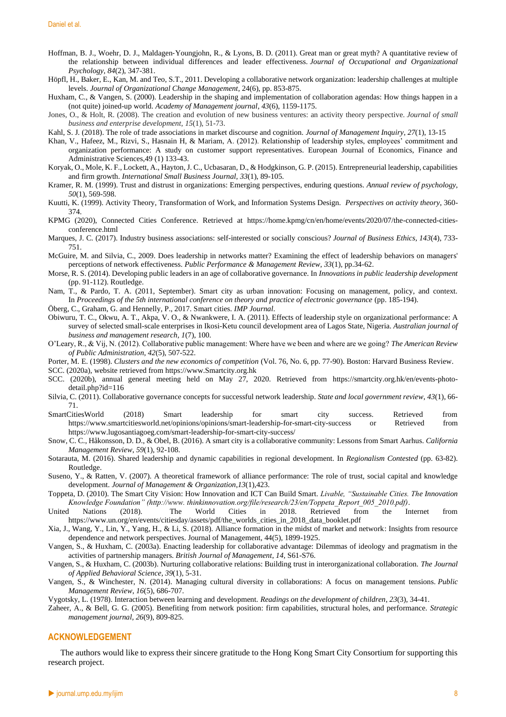- Hoffman, B. J., Woehr, D. J., Maldagen-Youngjohn, R., & Lyons, B. D. (2011). Great man or great myth? A quantitative review of the relationship between individual differences and leader effectiveness. *Journal of Occupational and Organizational Psychology*, *84*(2), 347-381.
- Höpfl, H., Baker, E., Kan, M. and Teo, S.T., 2011. Developing a collaborative network organization: leadership challenges at multiple levels. *Journal of Organizational Change Management*, 24(6), pp. 853-875.
- Huxham, C., & Vangen, S. (2000). Leadership in the shaping and implementation of collaboration agendas: How things happen in a (not quite) joined-up world. *Academy of Management journal*, *43*(6), 1159-1175.
- Jones, O., & Holt, R. (2008). The creation and evolution of new business ventures: an activity theory perspective. *Journal of small business and enterprise development*, *15*(1), 51-73.
- Kahl, S. J. (2018). The role of trade associations in market discourse and cognition. *Journal of Management Inquiry*, *27*(1), 13-15
- Khan, V., Hafeez, M., Rizvi, S., Hasnain H, & Mariam, A. (2012). Relationship of leadership styles, employees' commitment and organization performance: A study on customer support representatives. European Journal of Economics, Finance and Administrative Sciences,49 (1) 133-43.
- Koryak, O., Mole, K. F., Lockett, A., Hayton, J. C., Ucbasaran, D., & Hodgkinson, G. P. (2015). Entrepreneurial leadership, capabilities and firm growth. *International Small Business Journal*, *33*(1), 89-105.
- Kramer, R. M. (1999). Trust and distrust in organizations: Emerging perspectives, enduring questions. *Annual review of psychology*, *50*(1), 569-598.
- Kuutti, K. (1999). Activity Theory, Transformation of Work, and Information Systems Design. *Perspectives on activity theory*, 360- 374.
- KPMG (2020), Connected Cities Conference. Retrieved at [https://home.kpmg/cn/en/home/events/2020/07/the-connected-cities](https://home.kpmg/cn/en/home/events/2020/07/the-connected-cities-conference.html)[conference.html](https://home.kpmg/cn/en/home/events/2020/07/the-connected-cities-conference.html)
- Marques, J. C. (2017). Industry business associations: self-interested or socially conscious? *Journal of Business Ethics*, *143*(4), 733- 751.
- McGuire, M. and Silvia, C., 2009. Does leadership in networks matter? Examining the effect of leadership behaviors on managers' perceptions of network effectiveness. *Public Performance & Management Review*, *33*(1), pp.34-62.
- Morse, R. S. (2014). Developing public leaders in an age of collaborative governance. In *Innovations in public leadership development* (pp. 91-112). Routledge.
- Nam, T., & Pardo, T. A. (2011, September). Smart city as urban innovation: Focusing on management, policy, and context. In *Proceedings of the 5th international conference on theory and practice of electronic governance* (pp. 185-194).
- Öberg, C., Graham, G. and Hennelly, P., 2017. Smart cities. *IMP Journal*.
- Obiwuru, T. C., Okwu, A. T., Akpa, V. O., & Nwankwere, I. A. (2011). Effects of leadership style on organizational performance: A survey of selected small-scale enterprises in Ikosi-Ketu council development area of Lagos State, Nigeria. *Australian journal of business and management research*, *1*(7), 100.
- O'Leary, R., & Vij, N. (2012). Collaborative public management: Where have we been and where are we going? *The American Review of Public Administration*, *42*(5), 507-522.
- Porter, M. E. (1998). *Clusters and the new economics of competition* (Vol. 76, No. 6, pp. 77-90). Boston: Harvard Business Review. SCC. (2020a), website retrieved fro[m https://www.Smartcity.org.hk](https://www.smartcity.org.hk/)
- SCC. (2020b), annual general meeting held on May 27, 2020. Retrieved from [https://smartcity.org.hk/en/events-photo](https://smartcity.org.hk/en/events-photo-detail.php?id=116)[detail.php?id=116](https://smartcity.org.hk/en/events-photo-detail.php?id=116)
- Silvia, C. (2011). Collaborative governance concepts for successful network leadership. *State and local government review*, *43*(1), 66- 71.
- SmartCitiesWorld (2018) Smart leadership for smart city success. Retrieved from <https://www.smartcitiesworld.net/opinions/opinions/smart-leadership-for-smart-city-success> or Retrieved from <https://www.lugosantiagoeg.com/smart-leadership-for-smart-city-success/>
- Snow, C. C., Håkonsson, D. D., & Obel, B. (2016). A smart city is a collaborative community: Lessons from Smart Aarhus. *California Management Review*, *59*(1), 92-108.
- Sotarauta, M. (2016). Shared leadership and dynamic capabilities in regional development. In *Regionalism Contested* (pp. 63-82). Routledge.
- Suseno, Y., & Ratten, V. (2007). A theoretical framework of alliance performance: The role of trust, social capital and knowledge development. *Journal of Management & Organization*,*13*(1),423.
- Toppeta, D. (2010). The Smart City Vision: How Innovation and ICT Can Build Smart. *Livable, "Sustainable Cities. The Innovation Knowledge Foundation" (http://www. thinkinnovation.org/file/research/23/en/Toppeta\_Report\_005\_2010.pdf)*.
- United Nations (2018). The World Cities in 2018. Retrieved from the Internet from [https://www.un.org/en/events/citiesday/assets/pdf/the\\_worlds\\_cities\\_in\\_2018\\_data\\_booklet.pdf](https://www.un.org/en/events/citiesday/assets/pdf/the_worlds_cities_in_2018_data_booklet.pdf)
- Xia, J., Wang, Y., Lin, Y., Yang, H., & Li, S. (2018). Alliance formation in the midst of market and network: Insights from resource dependence and network perspectives. Journal of Management, 44(5), 1899-1925.
- Vangen, S., & Huxham, C. (2003a). Enacting leadership for collaborative advantage: Dilemmas of ideology and pragmatism in the activities of partnership managers. *British Journal of Management*, *14*, S61-S76.
- Vangen, S., & Huxham, C. (2003b). Nurturing collaborative relations: Building trust in interorganizational collaboration. *The Journal of Applied Behavioral Science*, *39*(1), 5-31.
- Vangen, S., & Winchester, N. (2014). Managing cultural diversity in collaborations: A focus on management tensions. *Public Management Review*, *16*(5), 686-707.
- Vygotsky, L. (1978). Interaction between learning and development. *Readings on the development of children*, *23*(3), 34-41.
- Zaheer, A., & Bell, G. G. (2005). Benefiting from network position: firm capabilities, structural holes, and performance. *Strategic management journal*, *26*(9), 809-825.

### **ACKNOWLEDGEMENT**

The authors would like to express their sincere gratitude to the Hong Kong Smart City Consortium for supporting this research project.